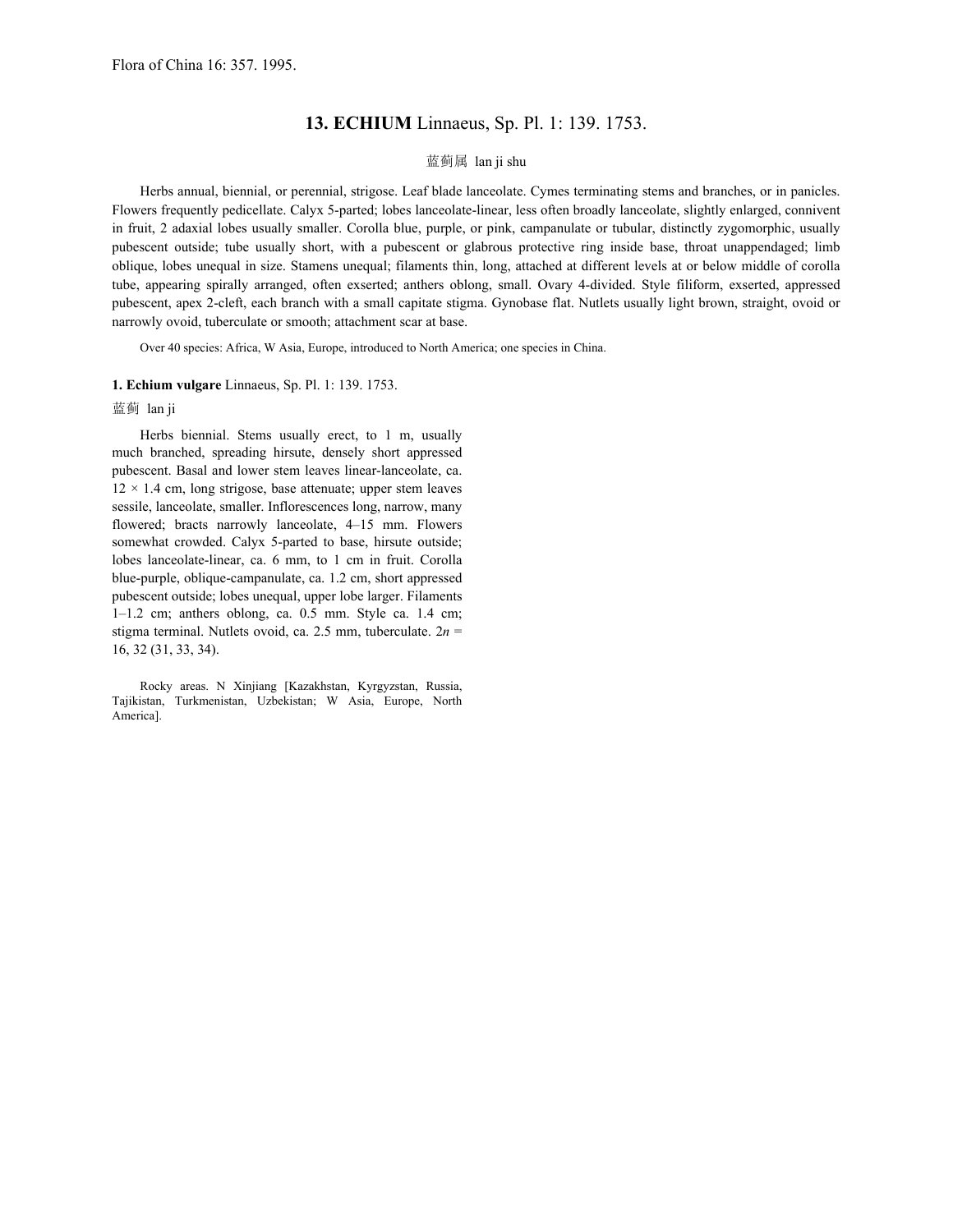## **13. ECHIUM** Linnaeus, Sp. Pl. 1: 139. 1753.

## 蓝蓟属 lan ji shu

Herbs annual, biennial, or perennial, strigose. Leaf blade lanceolate. Cymes terminating stems and branches, or in panicles. Flowers frequently pedicellate. Calyx 5-parted; lobes lanceolate-linear, less often broadly lanceolate, slightly enlarged, connivent in fruit, 2 adaxial lobes usually smaller. Corolla blue, purple, or pink, campanulate or tubular, distinctly zygomorphic, usually pubescent outside; tube usually short, with a pubescent or glabrous protective ring inside base, throat unappendaged; limb oblique, lobes unequal in size. Stamens unequal; filaments thin, long, attached at different levels at or below middle of corolla tube, appearing spirally arranged, often exserted; anthers oblong, small. Ovary 4-divided. Style filiform, exserted, appressed pubescent, apex 2-cleft, each branch with a small capitate stigma. Gynobase flat. Nutlets usually light brown, straight, ovoid or narrowly ovoid, tuberculate or smooth; attachment scar at base.

Over 40 species: Africa, W Asia, Europe, introduced to North America; one species in China.

## **1. Echium vulgare** Linnaeus, Sp. Pl. 1: 139. 1753.

## 蓝蓟 lan ji

Herbs biennial. Stems usually erect, to 1 m, usually much branched, spreading hirsute, densely short appressed pubescent. Basal and lower stem leaves linear-lanceolate, ca.  $12 \times 1.4$  cm, long strigose, base attenuate; upper stem leaves sessile, lanceolate, smaller. Inflorescences long, narrow, many flowered; bracts narrowly lanceolate, 4–15 mm. Flowers somewhat crowded. Calyx 5-parted to base, hirsute outside; lobes lanceolate-linear, ca. 6 mm, to 1 cm in fruit. Corolla blue-purple, oblique-campanulate, ca. 1.2 cm, short appressed pubescent outside; lobes unequal, upper lobe larger. Filaments 1–1.2 cm; anthers oblong, ca. 0.5 mm. Style ca. 1.4 cm; stigma terminal. Nutlets ovoid, ca. 2.5 mm, tuberculate. 2*n* = 16, 32 (31, 33, 34).

Rocky areas. N Xinjiang [Kazakhstan, Kyrgyzstan, Russia, Tajikistan, Turkmenistan, Uzbekistan; W Asia, Europe, North America].